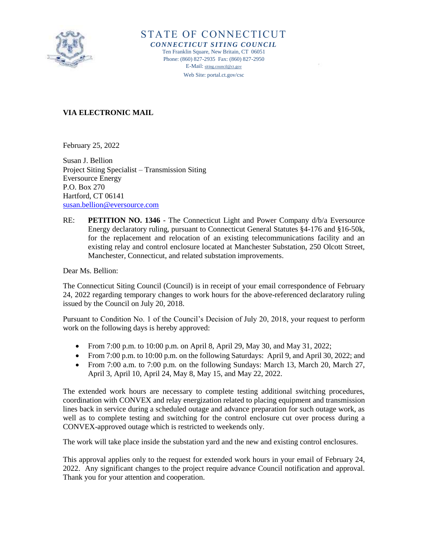

STATE OF CONNECTICUT

*CONNECTICUT SITING COUNCIL* Ten Franklin Square, New Britain, CT 06051 Phone: (860) 827-2935 Fax: (860) 827-2950 E-Mail: [siting.council@ct.gov](mailto:siting.council@ct.gov) Web Site: portal.ct.gov/csc

## **VIA ELECTRONIC MAIL**

February 25, 2022

Susan J. Bellion Project Siting Specialist – Transmission Siting Eversource Energy P.O. Box 270 Hartford, CT 06141 [susan.bellion@eversource.com](mailto:susan.bellion@eversource.com)

RE: **PETITION NO. 1346** - The Connecticut Light and Power Company d/b/a Eversource Energy declaratory ruling, pursuant to Connecticut General Statutes §4-176 and §16-50k, for the replacement and relocation of an existing telecommunications facility and an existing relay and control enclosure located at Manchester Substation, 250 Olcott Street, Manchester, Connecticut, and related substation improvements.

Dear Ms. Bellion:

The Connecticut Siting Council (Council) is in receipt of your email correspondence of February 24, 2022 regarding temporary changes to work hours for the above-referenced declaratory ruling issued by the Council on July 20, 2018.

Pursuant to Condition No. 1 of the Council's Decision of July 20, 2018, your request to perform work on the following days is hereby approved:

- From 7:00 p.m. to 10:00 p.m. on April 8, April 29, May 30, and May 31, 2022;
- From 7:00 p.m. to 10:00 p.m. on the following Saturdays: April 9, and April 30, 2022; and
- From 7:00 a.m. to 7:00 p.m. on the following Sundays: March 13, March 20, March 27, April 3, April 10, April 24, May 8, May 15, and May 22, 2022.

The extended work hours are necessary to complete testing additional switching procedures, coordination with CONVEX and relay energization related to placing equipment and transmission lines back in service during a scheduled outage and advance preparation for such outage work, as well as to complete testing and switching for the control enclosure cut over process during a CONVEX-approved outage which is restricted to weekends only.

The work will take place inside the substation yard and the new and existing control enclosures.

This approval applies only to the request for extended work hours in your email of February 24, 2022. Any significant changes to the project require advance Council notification and approval. Thank you for your attention and cooperation.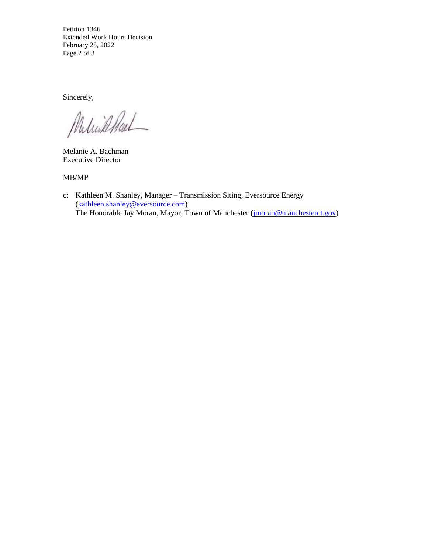Petition 1346 Extended Work Hours Decision February 25, 2022 Page 2 of 3

Sincerely,

Melinkhal

Melanie A. Bachman Executive Director

MB/MP

c: Kathleen M. Shanley, Manager – Transmission Siting, Eversource Energy (kathleen.shanley@eversource.com) The Honorable Jay Moran, Mayor, Town of Manchester [\(jmoran@manchesterct.gov\)](mailto:jmoran@manchesterct.gov)